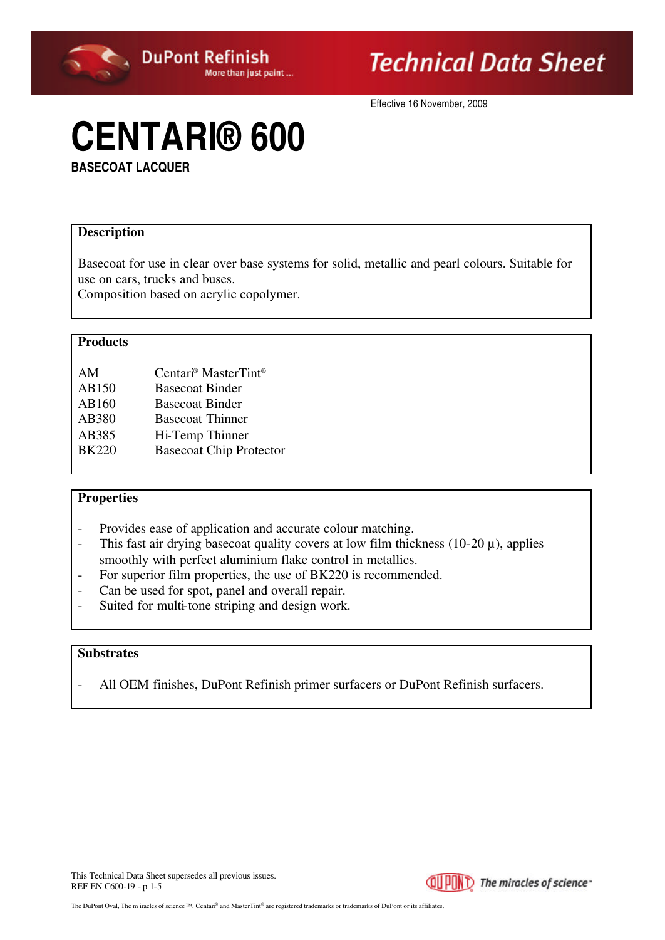

Effective 16 November, 2009

# **CENTARI® 600**

**BASECOAT LACQUER**

#### **Description**

Basecoat for use in clear over base systems for solid, metallic and pearl colours. Suitable for use on cars, trucks and buses.

Composition based on acrylic copolymer.

#### **Products**

| AM           | Centari <sup>®</sup> MasterTint <sup>®</sup> |
|--------------|----------------------------------------------|
| AB150        | <b>Basecoat Binder</b>                       |
| AB160        | <b>Basecoat Binder</b>                       |
| AB380        | <b>Basecoat Thinner</b>                      |
| AB385        | Hi-Temp Thinner                              |
| <b>BK220</b> | <b>Basecoat Chip Protector</b>               |

#### **Properties**

- Provides ease of application and accurate colour matching.
- This fast air drying basecoat quality covers at low film thickness (10-20  $\mu$ ), applies smoothly with perfect aluminium flake control in metallics.
- For superior film properties, the use of BK220 is recommended.
- Can be used for spot, panel and overall repair.
- Suited for multi-tone striping and design work.

#### **Substrates**

- All OEM finishes, DuPont Refinish primer surfacers or DuPont Refinish surfacers.

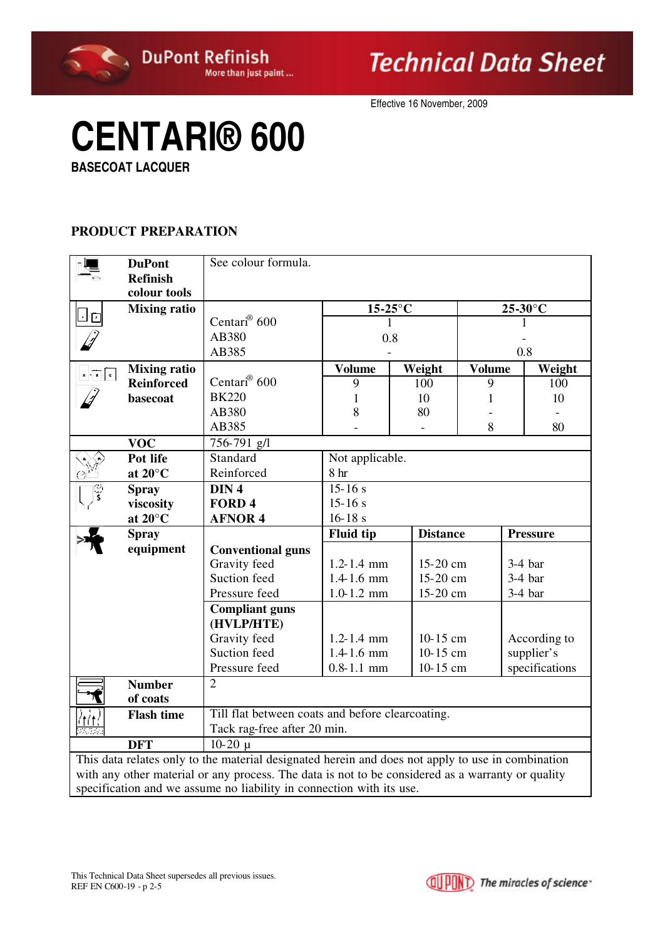

Effective 16 November, 2009

# **CENTARI® 600**

**BASECOAT LACQUER**

### **PRODUCT PREPARATION**

|                                                                                                                                                                                                        | <b>DuPont</b>       | See colour formula.                              |                  |                         |     |                 |  |  |  |
|--------------------------------------------------------------------------------------------------------------------------------------------------------------------------------------------------------|---------------------|--------------------------------------------------|------------------|-------------------------|-----|-----------------|--|--|--|
|                                                                                                                                                                                                        | <b>Refinish</b>     |                                                  |                  |                         |     |                 |  |  |  |
|                                                                                                                                                                                                        | colour tools        |                                                  |                  |                         |     |                 |  |  |  |
|                                                                                                                                                                                                        | <b>Mixing ratio</b> | Centari <sup>®</sup> 600                         | 1                | $15-25$ °C              |     | 25-30°C         |  |  |  |
|                                                                                                                                                                                                        |                     | AB380                                            | 0.8              |                         |     |                 |  |  |  |
|                                                                                                                                                                                                        |                     | AB385                                            |                  |                         | 0.8 |                 |  |  |  |
| $\sqrt{ \cdot }$                                                                                                                                                                                       | <b>Mixing ratio</b> |                                                  | <b>Volume</b>    | <b>Volume</b><br>Weight |     | Weight          |  |  |  |
|                                                                                                                                                                                                        | <b>Reinforced</b>   | Centari <sup>®</sup> 600                         | 9                | 100                     | 9   | 100             |  |  |  |
|                                                                                                                                                                                                        | basecoat            | <b>BK220</b>                                     | 1                | 10                      | 1   | 10              |  |  |  |
|                                                                                                                                                                                                        |                     | AB380                                            | 8                | 80                      |     |                 |  |  |  |
|                                                                                                                                                                                                        |                     | AB385                                            |                  |                         | 8   | 80              |  |  |  |
|                                                                                                                                                                                                        | <b>VOC</b>          | 756-791 g/l                                      |                  |                         |     |                 |  |  |  |
|                                                                                                                                                                                                        | Pot life            | Standard                                         | Not applicable.  |                         |     |                 |  |  |  |
|                                                                                                                                                                                                        | at $20^{\circ}$ C   | Reinforced                                       | 8 <sub>hr</sub>  |                         |     |                 |  |  |  |
|                                                                                                                                                                                                        | <b>Spray</b>        | DIN <sub>4</sub>                                 | $15 - 16 s$      |                         |     |                 |  |  |  |
|                                                                                                                                                                                                        | viscosity           | FORD <sub>4</sub>                                | $15 - 16 s$      |                         |     |                 |  |  |  |
|                                                                                                                                                                                                        | at $20^{\circ}$ C   | <b>AFNOR 4</b>                                   | $16 - 18 s$      |                         |     |                 |  |  |  |
|                                                                                                                                                                                                        | <b>Spray</b>        |                                                  | <b>Fluid tip</b> | <b>Distance</b>         |     | <b>Pressure</b> |  |  |  |
|                                                                                                                                                                                                        | equipment           | <b>Conventional guns</b>                         |                  |                         |     |                 |  |  |  |
|                                                                                                                                                                                                        |                     | Gravity feed                                     | $1.2 - 1.4$ mm   | 15-20 cm                |     | $3-4$ bar       |  |  |  |
|                                                                                                                                                                                                        |                     | Suction feed                                     | $1.4 - 1.6$ mm   | 15-20 cm                |     | $3-4$ bar       |  |  |  |
|                                                                                                                                                                                                        |                     | Pressure feed                                    | $1.0 - 1.2$ mm   | 15-20 cm                |     | $3-4$ bar       |  |  |  |
|                                                                                                                                                                                                        |                     | <b>Compliant guns</b>                            |                  |                         |     |                 |  |  |  |
|                                                                                                                                                                                                        |                     | (HVLP/HTE)                                       |                  |                         |     |                 |  |  |  |
|                                                                                                                                                                                                        |                     | Gravity feed                                     | $1.2 - 1.4$ mm   | $10-15$ cm              |     | According to    |  |  |  |
|                                                                                                                                                                                                        |                     | Suction feed                                     | $1.4 - 1.6$ mm   | 10-15 cm                |     | supplier's      |  |  |  |
|                                                                                                                                                                                                        |                     | Pressure feed                                    | $0.8 - 1.1$ mm   | 10-15 cm                |     | specifications  |  |  |  |
|                                                                                                                                                                                                        | <b>Number</b>       | $\overline{2}$                                   |                  |                         |     |                 |  |  |  |
|                                                                                                                                                                                                        | of coats            |                                                  |                  |                         |     |                 |  |  |  |
|                                                                                                                                                                                                        | <b>Flash time</b>   | Till flat between coats and before clearcoating. |                  |                         |     |                 |  |  |  |
| $\mathcal{F}(\mathcal{E}_\mathcal{A})$ .                                                                                                                                                               |                     | Tack rag-free after 20 min.                      |                  |                         |     |                 |  |  |  |
|                                                                                                                                                                                                        | <b>DFT</b>          | $10-20 \mu$                                      |                  |                         |     |                 |  |  |  |
| This data relates only to the material designated herein and does not apply to use in combination<br>with any other material or any process. The data is not to be considered as a warranty or quality |                     |                                                  |                  |                         |     |                 |  |  |  |
|                                                                                                                                                                                                        |                     |                                                  |                  |                         |     |                 |  |  |  |
| specification and we assume no liability in connection with its use.                                                                                                                                   |                     |                                                  |                  |                         |     |                 |  |  |  |

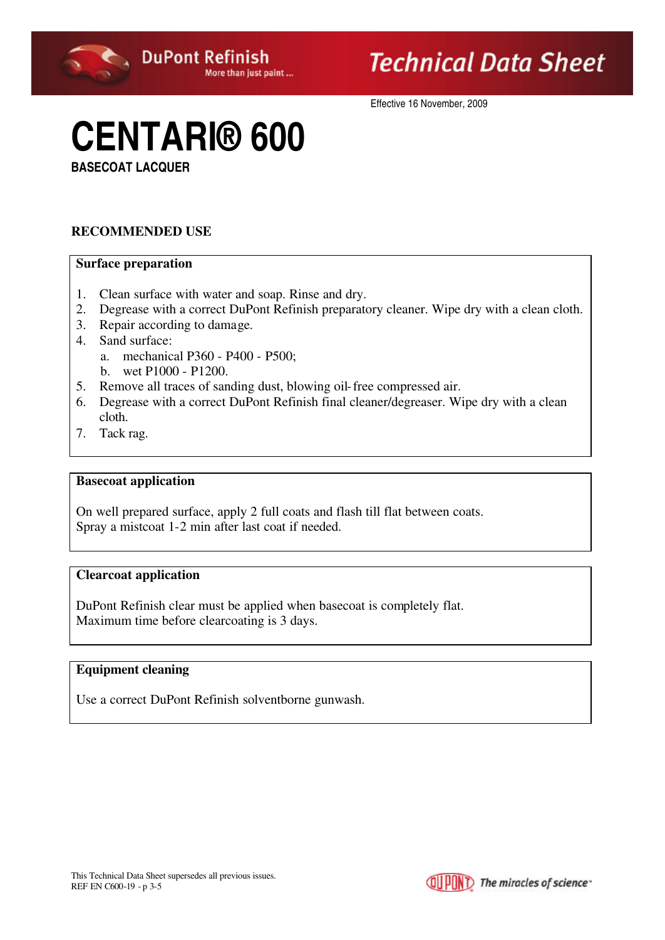

Effective 16 November, 2009

# **CENTARI® 600**

**BASECOAT LACQUER**

### **RECOMMENDED USE**

#### **Surface preparation**

- 1. Clean surface with water and soap. Rinse and dry.
- 2. Degrease with a correct DuPont Refinish preparatory cleaner. Wipe dry with a clean cloth.
- 3. Repair according to damage.
- 4. Sand surface:
	- a. mechanical P360 P400 P500;
	- b. wet P1000 P1200.
- 5. Remove all traces of sanding dust, blowing oil-free compressed air.
- 6. Degrease with a correct DuPont Refinish final cleaner/degreaser. Wipe dry with a clean cloth.
- 7. Tack rag.

#### **Basecoat application**

On well prepared surface, apply 2 full coats and flash till flat between coats. Spray a mistcoat 1-2 min after last coat if needed.

#### **Clearcoat application**

DuPont Refinish clear must be applied when basecoat is completely flat. Maximum time before clearcoating is 3 days.

#### **Equipment cleaning**

Use a correct DuPont Refinish solventborne gunwash.

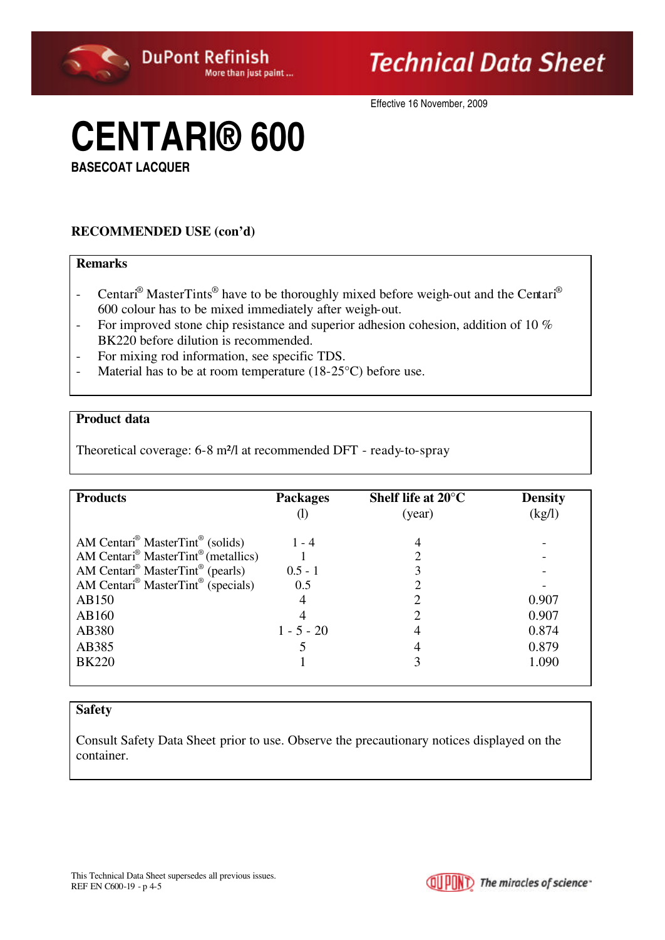

Effective 16 November, 2009

# **CENTARI® 600**

**BASECOAT LACQUER**

## **RECOMMENDED USE (con'd)**

### **Remarks**

- Centari<sup>®</sup> MasterTints<sup>®</sup> have to be thoroughly mixed before weigh-out and the Centari<sup>®</sup> 600 colour has to be mixed immediately after weigh-out.
- For improved stone chip resistance and superior adhesion cohesion, addition of 10 % BK220 before dilution is recommended.
- For mixing rod information, see specific TDS.
- Material has to be at room temperature (18-25<sup>o</sup>C) before use.

#### **Product data**

Theoretical coverage: 6-8 m²/l at recommended DFT - ready-to-spray

| <b>Products</b>                                             | <b>Packages</b> | Shelf life at $20^{\circ}$ C | <b>Density</b> |
|-------------------------------------------------------------|-----------------|------------------------------|----------------|
|                                                             |                 | (year)                       | (kg/l)         |
| AM Centari <sup>®</sup> MasterTint <sup>®</sup> (solids)    | $1 - 4$         |                              |                |
| AM Centari <sup>®</sup> MasterTint <sup>®</sup> (metallics) |                 |                              |                |
| AM Centari <sup>®</sup> MasterTint <sup>®</sup> (pearls)    | $0.5 - 1$       |                              |                |
| AM Centari <sup>®</sup> MasterTint <sup>®</sup> (specials)  | 0.5             |                              |                |
| AB150                                                       |                 |                              | 0.907          |
| AB160                                                       |                 |                              | 0.907          |
| AB380                                                       | $1 - 5 - 20$    |                              | 0.874          |
| AB385                                                       |                 |                              | 0.879          |
| <b>BK220</b>                                                |                 |                              | 1.090          |
|                                                             |                 |                              |                |

### **Safety**

Consult Safety Data Sheet prior to use. Observe the precautionary notices displayed on the container.